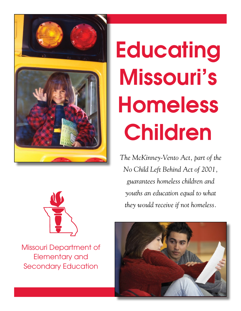

# **Educating** Missouri's Homeless Children

*The McKinney-Vento Act, part of the No Child Left Behind Act of 2001, guarantees homeless children and youths an education equal to what they would receive if not homeless.*



Missouri Department of Elementary and Secondary Education

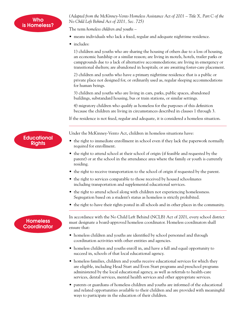*(Adapted from the McKinney-Vento Homeless Assistance Act of 2001 – Title X, Part C of the No Child Left Behind Act of 2001, Sec. 725)*

The term *homeless children and youths* –

- means individuals who lack a fixed, regular and adequate nighttime residence.
- includes:

1) children and youths who are sharing the housing of others due to a loss of housing, an economic hardship or a similar reason; are living in motels, hotels, trailer parks or campgrounds due to a lack of alternative accommodations; are living in emergency or transitional shelters; are abandoned in hospitals; or are awaiting foster-care placement.

2) children and youths who have a primary nighttime residence that is a public or private place not designed for, or ordinarily used as, regular sleeping accommodations for human beings.

3) children and youths who are living in cars, parks, public spaces, abandoned buildings, substandard housing, bus or train stations, or similar settings.

4) migratory children who qualify as homeless for the purposes of this definition because the children are living in circumstances described in clauses 1 through 3.

If the residence is not fixed, regular and adequate, it is considered a homeless situation.

Under the McKinney-Vento Act, children in homeless situations have:

- the right to immediate enrollment in school even if they lack the paperwork normally required for enrollment.
- the right to attend school at their school of origin (if feasible and requested by the parent) or at the school in the attendance area where the family or youth is currently residing.
- the right to receive transportation to the school of origin if requested by the parent.
- the right to services comparable to those received by housed schoolmates including transportation and supplemental educational services.
- the right to attend school along with children not experiencing homelessness. Segregation based on a student's status as homeless is strictly prohibited.
- the right to have their rights posted in all schools and in other places in the community.

## **Homeless Coordinator**

In accordance with the No Child Left Behind (NCLB) Act of 2001, every school district must designate a board-approved homeless coordinator. Homeless coordinators shall ensure that:

- homeless children and youths are identified by school personnel and through coordination activities with other entities and agencies.
- homeless children and youths enroll in, and have a full and equal opportunity to succeed in, schools of that local educational agency.
- homeless families, children and youths receive educational services for which they are eligible, including Head Start and Even Start programs and preschool programs administered by the local educational agency, as well as referrals to health-care services, dental services, mental health services and other appropriate services.
- parents or guardians of homeless children and youths are informed of the educational and related opportunities available to their children and are provided with meaningful ways to participate in the education of their children.

**Educational Rights**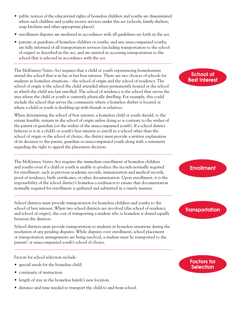- public notices of the educational rights of homeless children and youths are disseminated where such children and youths receive services under this act (schools, family shelters, soup kitchens and other appropriate places).
- enrollment disputes are mediated in accordance with all guidelines set forth in the act.
- parents or guardians of homeless children or youths, and any unaccompanied youths, are fully informed of all transportation services (including transportation to the school of origin) as described in the act, and are assisted in accessing transportation to the school that is selected in accordance with the act.

The McKinney-Vento Act requires that a child or youth experiencing homelessness attend the school that is in his or her best interest. There are two choices of schools for students in homeless situations – the school of origin and the school of residency. The school of origin is the school the child attended when permanently housed or the school in which the child was last enrolled. The school of residency is the school that serves the area where the child or youth is currently physically dwelling. For example, this could include the school that serves the community where a homeless shelter is located or where a child or youth is doubling-up with friends or relatives.

When determining the school of best interest, a homeless child or youth should, to the extent feasible, remain in the school of origin unless doing so is contrary to the wishes of the parent or guardian (or the wishes of the unaccompanied youth). If a school district believes it is in a child's or youth's best interest to enroll in a school other than the school of origin or the school of choice, the district must provide a written explanation of its decision to the parent, guardian or unaccompanied youth along with a statement regarding the right to appeal the placement decision.

The McKinney-Vento Act requires the immediate enrollment of homeless children and youths even if a child or youth is unable to produce the records normally required for enrollment, such as previous academic records, immunization and medical records, proof of residency, birth certificates, or other documentation. Upon enrollment, it is the responsibility of the school district's homeless coordinator to ensure that documentation normally required for enrollment is gathered and submitted in a timely manner.

School districts must provide transportation for homeless children and youths to the school of best interest. When two school districts are involved (the school of residency and school of origin), the cost of transporting a student who is homeless is shared equally between the districts.

School districts must provide transportation to students in homeless situations during the resolution of any pending disputes. While disputes over enrollment, school placement or transportation arrangements are being resolved, a student must be transported to the parents' or unaccompanied youth's school of choice.

Factors for school selection include:

- special needs for the homeless child.
- continuity of instruction.
- length of stay in the homeless family's new location.
- distance and time needed to transport the child to and from school.

#### School of Best Interest

## **Enrollment**

## **Transportation**

### Factors for **Selection**